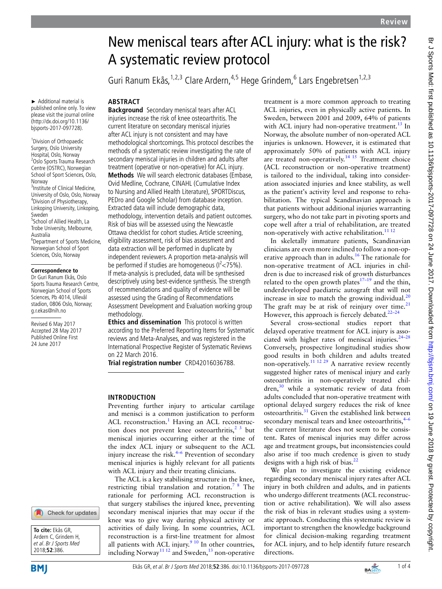# New meniscal tears after ACL injury: what is the risk? A systematic review protocol

Guri Ranum Ekås,<sup>1,2,3</sup> Clare Ardern,<sup>4,5</sup> Hege Grindem,<sup>6</sup> Lars Engebretsen<sup>1,2,3</sup>

► Additional material is published online only. To view please visit the journal online (http://dx.doi.org/10.1136/ bjsports-2017-097728).

<sup>1</sup> Division of Orthopaedic Surgery, Oslo University Hospital, Oslo, Norway 2 Oslo Sports Trauma Research Centre (OSTRC), Norwegian School of Sport Sciences, Oslo, Norway 3 Institute of Clinical Medicine, University of Oslo, Oslo, Norway 4 Division of Physiotherapy, Linkoping University, Linkoping, Sweden <sup>5</sup>School of Allied Health, La Trobe University, Melbourne, Australia 6 Department of Sports Medicine, Norwegian School of Sport Sciences, Oslo, Norway

#### **Correspondence to**

Dr Guri Ranum Ekås, Oslo Sports Trauma Research Centre, Norwegian School of Sports Sciences, Pb 4014, Ullevål stadion, 0806 Oslo, Norway; g.r.ekas@nih.no

Revised 6 May 2017 Accepted 28 May 2017 Published Online First 24 June 2017

# **ABSTRACT**

**Background** Secondary meniscal tears after ACL injuries increase the risk of knee osteoarthritis. The current literature on secondary meniscal injuries after ACL injury is not consistent and may have methodological shortcomings. This protocol describes the methods of a systematic review investigating the rate of secondary meniscal injuries in children and adults after treatment (operative or non-operative) for ACL injury. **Methods** We will search electronic databases (Embase, Ovid Medline, Cochrane, CINAHL (Cumulative Index to Nursing and Allied Health Literature), SPORTDiscus, PEDro and Google Scholar) from database inception. Extracted data will include demographic data, methodology, intervention details and patient outcomes. Risk of bias will be assessed using the Newcastle Ottawa checklist for cohort studies. Article screening, eligibility assessment, risk of bias assessment and data extraction will be performed in duplicate by independent reviewers. A proportion meta-analysis will be performed if studies are homogeneous ( $1<sup>2</sup>< 75$ %). If meta-analysis is precluded, data will be synthesised descriptively using best-evidence synthesis. The strength of recommendations and quality of evidence will be assessed using the Grading of Recommendations Assessment Development and Evaluation working group methodology.

**Ethics and dissemination** This protocol is written according to the Preferred Reporting Items for Systematic reviews and Meta-Analyses, and was registered in the International Prospective Register of Systematic Reviews on 22 March 2016.

**Trial registration number** CRD42016036788.

## **Introduction**

Preventing further injury to articular cartilage and menisci is a common justification to perform ACL reconstruction.<sup>[1](#page-2-0)</sup> Having an ACL reconstruction does not prevent knee osteoarthritis,  $2^3$  but meniscal injuries occurring either at the time of the index ACL injury or subsequent to the ACL injury increase the risk. $4-6$  Prevention of secondary meniscal injuries is highly relevant for all patients with ACL injury and their treating clinicians.

The ACL is a key stabilising structure in the knee, restricting tibial translation and rotation.<sup>7</sup>  $8$  The rationale for performing ACL reconstruction is that surgery stabilises the injured knee, preventing secondary meniscal injuries that may occur if the knee was to give way during physical activity or activities of daily living. In some countries, ACL reconstruction is a first-line treatment for almost all patients with ACL injury.<sup>9 10</sup> In other countries, including Norway<sup>11 12</sup> and Sweden,  $^{13}$  non-operative treatment is a more common approach to treating ACL injuries, even in physically active patients. In Sweden, between 2001 and 2009, 64% of patients with ACL injury had non-operative treatment.<sup>[13](#page-3-3)</sup> In Norway, the absolute number of non-operated ACL injuries is unknown. However, it is estimated that approximately 50% of patients with ACL injury are treated non-operatively.<sup>14 15</sup> Treatment choice (ACL reconstruction or non-operative treatment) is tailored to the individual, taking into consideration associated injuries and knee stability, as well as the patient's activity level and response to rehabilitation. The typical Scandinavian approach is that patients without additional injuries warranting surgery, who do not take part in pivoting sports and cope well after a trial of rehabilitation, are treated non-operatively with active rehabilitation.<sup>[11 12](#page-3-2)</sup>

In skeletally immature patients, Scandinavian clinicians are even more inclined to follow a non-operative approach than in adults.<sup>16</sup> The rationale for non-operative treatment of ACL injuries in children is due to increased risk of growth disturbances related to the open growth plates<sup>17–19</sup> and the thin, underdeveloped paediatric autograft that will not increase in size to match the growing individual. $^{20}$  $^{20}$  $^{20}$ The graft may be at risk of reinjury over time. $21$ However, this approach is fiercely debated. $22-24$ 

Several cross-sectional studies report that delayed operative treatment for ACL injury is associated with higher rates of meniscal injuries. $24-28$ Conversely, prospective longitudinal studies show good results in both children and adults treated non-operatively.<sup>11 12 29</sup> A narrative review recently suggested higher rates of meniscal injury and early osteoarthritis in non-operatively treated children,<sup>30</sup> while a systematic review of data from adults concluded that non-operative treatment with optional delayed surgery reduces the risk of knee osteoarthritis.<sup>31</sup> Given the established link between secondary meniscal tears and knee osteoarthritis, $4-6$ the current literature does not seem to be consistent. Rates of meniscal injuries may differ across age and treatment groups, but inconsistencies could also arise if too much credence is given to study designs with a high risk of bias. $^{22}$ 

We plan to investigate the existing evidence regarding secondary meniscal injury rates after ACL injury in both children and adults, and in patients who undergo different treatments (ACL reconstruction or active rehabilitation). We will also assess the risk of bias in relevant studies using a systematic approach. Conducting this systematic review is important to strengthen the knowledge background for clinical decision-making regarding treatment for ACL injury, and to help identify future research directions.



**To cite:** Ekås GR, Ardern C, Grindem H, et al. Br J Sports Med 2018;**52**:386.

Check for updates

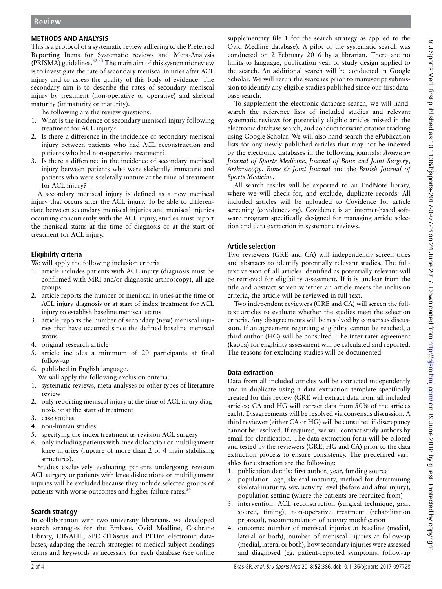# **Methods and analysis**

This is a protocol of a systematic review adhering to the Preferred Reporting Items for Systematic reviews and Meta-Analysis (PRISMA) guidelines. $3233$  The main aim of this systematic review is to investigate the rate of secondary meniscal injuries after ACL injury and to assess the quality of this body of evidence. The secondary aim is to describe the rates of secondary meniscal injury by treatment (non-operative or operative) and skeletal maturity (immaturity or maturity).

The following are the review questions:

- 1. What is the incidence of secondary meniscal injury following treatment for ACL injury?
- 2. Is there a difference in the incidence of secondary meniscal injury between patients who had ACL reconstruction and patients who had non-operative treatment?
- 3. Is there a difference in the incidence of secondary meniscal injury between patients who were skeletally immature and patients who were skeletally mature at the time of treatment for ACL injury?

A secondary meniscal injury is defined as a new meniscal injury that occurs after the ACL injury. To be able to differentiate between secondary meniscal injuries and meniscal injuries occurring concurrently with the ACL injury, studies must report the meniscal status at the time of diagnosis or at the start of treatment for ACL injury.

# **Eligibility criteria**

We will apply the following inclusion criteria:

- 1. article includes patients with ACL injury (diagnosis must be confirmed with MRI and/or diagnostic arthroscopy), all age groups
- 2. article reports the number of meniscal injuries at the time of ACL injury diagnosis or at start of index treatment for ACL injury to establish baseline meniscal status
- 3. article reports the number of secondary (new) meniscal injuries that have occurred since the defined baseline meniscal status
- 4. original research article
- 5. article includes a minimum of 20 participants at final follow-up
- 6. published in English language.
- We will apply the following exclusion criteria:
- 1. systematic reviews, meta-analyses or other types of literature review
- 2. only reporting meniscal injury at the time of ACL injury diagnosis *or* at the start of treatment
- 3. case studies
- 4. non-human studies
- 5. specifying the index treatment as revision ACL surgery
- 6. only including patients with knee dislocation or multiligament knee injuries (rupture of more than 2 of 4 main stabilising structures).

Studies exclusively evaluating patients undergoing revision ACL surgery or patients with knee dislocations or multiligament injuries will be excluded because they include selected groups of patients with worse outcomes and higher failure rates.<sup>3</sup>

# **Search strategy**

In collaboration with two university librarians, we developed search strategies for the Embase, Ovid Medline, Cochrane Library, CINAHL, SPORTDiscus and PEDro electronic databases, adapting the search strategies to medical subject headings terms and keywords as necessary for each database (see online

[supplementary file 1](https://dx.doi.org/10.1136/bjsports-2017-097728) for the search strategy as applied to the Ovid Medline database). A pilot of the systematic search was conducted on 2 February 2016 by a librarian. There are no limits to language, publication year or study design applied to the search. An additional search will be conducted in Google Scholar. We will rerun the searches prior to manuscript submission to identify any eligible studies published since our first database search.

To supplement the electronic database search, we will handsearch the reference lists of included studies and relevant systematic reviews for potentially eligible articles missed in the electronic database search, and conduct forward citation tracking using Google Scholar. We will also hand-search the ePublication lists for any newly published articles that may not be indexed by the electronic databases in the following journals: *American Journal of Sports Medicine*, *Journal of Bone and Joint Surgery*, *Arthroscopy*, *Bone & Joint Journal* and the *British Journal of Sports Medicine*.

All search results will be exported to an EndNote library, where we will check for, and exclude, duplicate records. All included articles will be uploaded to Covidence for article screening (covidence.org). Covidence is an internet-based software program specifically designed for managing article selection and data extraction in systematic reviews.

# **Article selection**

Two reviewers (GRE and CA) will independently screen titles and abstracts to identify potentially relevant studies. The fulltext version of all articles identified as potentially relevant will be retrieved for eligibility assessment. If it is unclear from the title and abstract screen whether an article meets the inclusion criteria, the article will be reviewed in full text.

Two independent reviewers (GRE and CA) will screen the fulltext articles to evaluate whether the studies meet the selection criteria. Any disagreements will be resolved by consensus discussion. If an agreement regarding eligibility cannot be reached, a third author (HG) will be consulted. The inter-rater agreement (kappa) for eligibility assessment will be calculated and reported. The reasons for excluding studies will be documented.

# **Data extraction**

Data from all included articles will be extracted independently and in duplicate using a data extraction template specifically created for this review (GRE will extract data from all included articles; CA and HG will extract data from 50% of the articles each). Disagreements will be resolved via consensus discussion. A third reviewer (either CA or HG) will be consulted if discrepancy cannot be resolved. If required, we will contact study authors by email for clarification. The data extraction form will be piloted and tested by the reviewers (GRE, HG and CA) prior to the data extraction process to ensure consistency. The predefined variables for extraction are the following:

- 1. publication details: first author, year, funding source
- 2. population: age, skeletal maturity, method for determining skeletal maturity, sex, activity level (before and after injury), population setting (where the patients are recruited from)
- 3. intervention: ACL reconstruction (surgical technique, graft source, timing), non-operative treatment (rehabilitation protocol), recommendation of activity modification
- 4. outcome: number of meniscal injuries at baseline (medial, lateral or both), number of meniscal injuries at follow-up (medial, lateral or both), how secondary injuries were assessed and diagnosed (eg, patient-reported symptoms, follow-up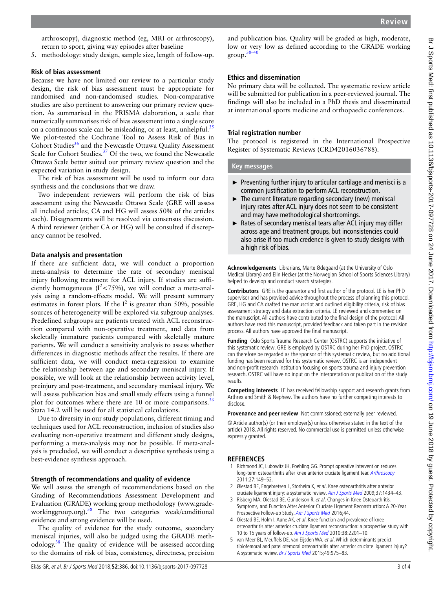arthroscopy), diagnostic method (eg, MRI or arthroscopy), return to sport, giving way episodes after baseline

5. methodology: study design, sample size, length of follow-up.

#### **Risk of bias assessment**

Because we have not limited our review to a particular study design, the risk of bias assessment must be appropriate for randomised and non-randomised studies. Non-comparative studies are also pertinent to answering our primary review question. As summarised in the PRISMA elaboration, a scale that numerically summarises risk of bias assessment into a single score on a continuous scale can be misleading, or at least, unhelpful.<sup>[35](#page-3-15)</sup> We pilot-tested the Cochrane Tool to Assess Risk of Bias in Cohort Studies<sup>36</sup> and the Newcastle Ottawa Quality Assessment Scale for Cohort Studies.<sup>[37](#page-3-17)</sup> Of the two, we found the Newcastle Ottawa Scale better suited our primary review question and the expected variation in study design.

The risk of bias assessment will be used to inform our data synthesis and the conclusions that we draw.

Two independent reviewers will perform the risk of bias assessment using the Newcastle Ottawa Scale (GRE will assess all included articles; CA and HG will assess 50% of the articles each). Disagreements will be resolved via consensus discussion. A third reviewer (either CA or HG) will be consulted if discrepancy cannot be resolved.

#### **Data analysis and presentation**

If there are sufficient data, we will conduct a proportion meta-analysis to determine the rate of secondary meniscal injury following treatment for ACL injury. If studies are sufficiently homogeneous ( $I^2$ <75%), we will conduct a meta-analysis using a random-effects model. We will present summary estimates in forest plots. If the  $I^2$  is greater than 50%, possible sources of heterogeneity will be explored via subgroup analyses. Predefined subgroups are patients treated with ACL reconstruction compared with non-operative treatment, and data from skeletally immature patients compared with skeletally mature patients. We will conduct a sensitivity analysis to assess whether differences in diagnostic methods affect the results. If there are sufficient data, we will conduct meta-regression to examine the relationship between age and secondary meniscal injury. If possible, we will look at the relationship between activity level, preinjury and post-treatment, and secondary meniscal injury. We will assess publication bias and small study effects using a funnel plot for outcomes where there are 10 or more comparisons.<sup>[36](#page-3-16)</sup> Stata 14.2 will be used for all statistical calculations.

Due to diversity in our study populations, different timing and techniques used for ACL reconstruction, inclusion of studies also evaluating non-operative treatment and different study designs, performing a meta-analysis may not be possible. If meta-analysis is precluded, we will conduct a descriptive synthesis using a best-evidence synthesis approach.

#### **Strength of recommendations and quality of evidence**

We will assess the strength of recommendations based on the Grading of Recommendations Assessment Development and Evaluation (GRADE) working group methodology [\(www.grade](www.gradeworkinggroup.org)[workinggroup.org](www.gradeworkinggroup.org)).<sup>[38](#page-3-18)</sup> The two categories weak/conditional evidence and strong evidence will be used.

The quality of evidence for the study outcome, secondary meniscal injuries, will also be judged using the GRADE meth-odology.<sup>[38](#page-3-18)</sup> The quality of evidence will be assessed according to the domains of risk of bias, consistency, directness, precision

Ekås GR, et al. Br J Sports Med 2018;**52**:386. doi:10.1136/bjsports-2017-097728 3 of 4

and publication bias. Quality will be graded as high, moderate, low or very low as defined according to the GRADE working group[.38–40](#page-3-18)

#### **Ethics and dissemination**

No primary data will be collected. The systematic review article will be submitted for publication in a peer-reviewed journal. The findings will also be included in a PhD thesis and disseminated at international sports medicine and orthopaedic conferences.

#### **Trial registration number**

The protocol is registered in the International Prospective Register of Systematic Reviews (CRD42016036788).

**Key messages**

- $\blacktriangleright$  Preventing further injury to articular cartilage and menisci is a common justification to perform ACL reconstruction.
- $\blacktriangleright$  The current literature regarding secondary (new) meniscal injury rates after ACL injury does not seem to be consistent and may have methodological shortcomings.
- ► Rates of secondary meniscal tears after ACL injury may differ across age and treatment groups, but inconsistencies could also arise if too much credence is given to study designs with a high risk of bias.

**Acknowledgements** Librarians, Marte Ødegaard (at the University of Oslo Medical Library) and Elin Hecker (at the Norwegian School of Sports Sciences Library) helped to develop and conduct search strategies.

**Contributors** GRE is the guarantor and first author of the protocol. LE is her PhD supervisor and has provided advice throughout the process of planning this protocol. GRE, HG and CA drafted the manuscript and outlined eligibility criteria, risk of bias assessment strategy and data extraction criteria. LE reviewed and commented on the manuscript. All authors have contributed to the final design of the protocol. All authors have read this manuscript, provided feedback and taken part in the revision process. All authors have approved the final manuscript.

**Funding** Oslo Sports Trauma Research Center (OSTRC) supports the initiative of this systematic review. GRE is employed by OSTRC during her PhD project. OSTRC can therefore be regarded as the sponsor of this systematic review, but no additional funding has been received for this systematic review. OSTRC is an independent and non-profit research institution focusing on sports trauma and injury prevention research. OSTRC will have no input on the interpretation or publication of the study results.

**Competing interests** LE has received fellowship support and research grants from Arthrex and Smith & Nephew. The authors have no further competing interests to disclose.

**Provenance and peer review** Not commissioned; externally peer reviewed.

© Article author(s) (or their employer(s) unless otherwise stated in the text of the article) 2018. All rights reserved. No commercial use is permitted unless otherwise expressly granted.

## **References**

- <span id="page-2-0"></span>1 Richmond JC, Lubowitz JH, Poehling GG. Prompt operative intervention reduces long-term osteoarthritis after knee anterior cruciate ligament tear. [Arthroscopy](http://dx.doi.org/10.1016/j.arthro.2010.11.060) 2011;27:149–52.
- <span id="page-2-1"></span>2 Øiestad BE, Engebretsen L, Storheim K, et al. Knee osteoarthritis after anterior cruciate ligament injury: a systematic review. [Am J Sports Med](http://dx.doi.org/10.1177/0363546509338827) 2009;37:1434–43.
- 3 Risberg MA, Oiestad BE, Gunderson R, et al. Changes in Knee Osteoarthritis, Symptoms, and Function After Anterior Cruciate Ligament Reconstruction: A 20-Year Prospective Follow-up Study. [Am J Sports Med](http://dx.doi.org/10.1177/0363546515626539) 2016;44.
- <span id="page-2-2"></span>4 Oiestad BE, Holm I, Aune AK, et al. Knee function and prevalence of knee osteoarthritis after anterior cruciate ligament reconstruction: a prospective study with 10 to 15 years of follow-up. [Am J Sports Med](http://dx.doi.org/10.1177/0363546510373876) 2010;38:2201–10.
- van Meer BL, Meuffels DE, van Eijsden WA, et al. Which determinants predict tibiofemoral and patellofemoral osteoarthritis after anterior cruciate ligament injury? A systematic review. [Br J Sports Med](http://dx.doi.org/10.1136/bjsports-2013-093258) 2015;49:975–83.